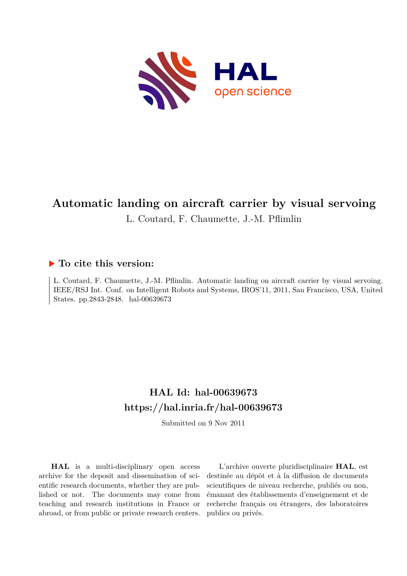

# **Automatic landing on aircraft carrier by visual servoing**

L. Coutard, F. Chaumette, J.-M. Pflimlin

# **To cite this version:**

L. Coutard, F. Chaumette, J.-M. Pflimlin. Automatic landing on aircraft carrier by visual servoing. IEEE/RSJ Int. Conf. on Intelligent Robots and Systems, IROS'11, 2011, San Francisco, USA, United States. pp.2843-2848. hal-00639673

# **HAL Id: hal-00639673 <https://hal.inria.fr/hal-00639673>**

Submitted on 9 Nov 2011

**HAL** is a multi-disciplinary open access archive for the deposit and dissemination of scientific research documents, whether they are published or not. The documents may come from teaching and research institutions in France or abroad, or from public or private research centers.

L'archive ouverte pluridisciplinaire **HAL**, est destinée au dépôt et à la diffusion de documents scientifiques de niveau recherche, publiés ou non, émanant des établissements d'enseignement et de recherche français ou étrangers, des laboratoires publics ou privés.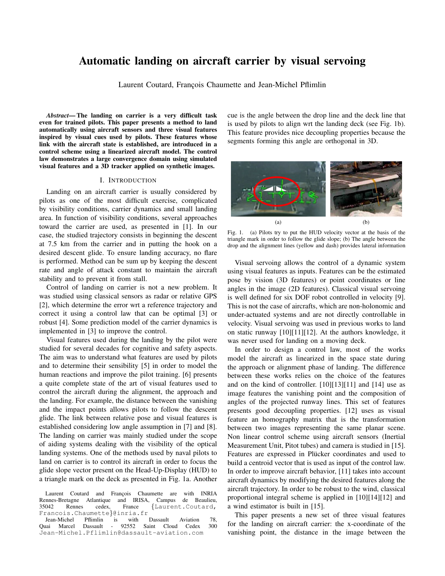# Automatic landing on aircraft carrier by visual servoing

Laurent Coutard, François Chaumette and Jean-Michel Pflimlin

*Abstract*— The landing on carrier is a very difficult task even for trained pilots. This paper presents a method to land automatically using aircraft sensors and three visual features inspired by visual cues used by pilots. These features whose link with the aircraft state is established, are introduced in a control scheme using a linearized aircraft model. The control law demonstrates a large convergence domain using simulated visual features and a 3D tracker applied on synthetic images.

# I. INTRODUCTION

Landing on an aircraft carrier is usually considered by pilots as one of the most difficult exercise, complicated by visibility conditions, carrier dynamics and small landing area. In function of visibility conditions, several approaches toward the carrier are used, as presented in [1]. In our case, the studied trajectory consists in beginning the descent at 7.5 km from the carrier and in putting the hook on a desired descent glide. To ensure landing accuracy, no flare is performed. Method can be sum up by keeping the descent rate and angle of attack constant to maintain the aircraft stability and to prevent it from stall.

Control of landing on carrier is not a new problem. It was studied using classical sensors as radar or relative GPS [2], which determine the error wrt a reference trajectory and correct it using a control law that can be optimal [3] or robust [4]. Some prediction model of the carrier dynamics is implemented in [3] to improve the control.

Visual features used during the landing by the pilot were studied for several decades for cognitive and safety aspects. The aim was to understand what features are used by pilots and to determine their sensibility [5] in order to model the human reactions and improve the pilot training. [6] presents a quite complete state of the art of visual features used to control the aircraft during the alignment, the approach and the landing. For example, the distance between the vanishing and the impact points allows pilots to follow the descent glide. The link between relative pose and visual features is established considering low angle assumption in [7] and [8]. The landing on carrier was mainly studied under the scope of aiding systems dealing with the visibility of the optical landing systems. One of the methods used by naval pilots to land on carrier is to control its aircraft in order to focus the glide slope vector present on the Head-Up-Display (HUD) to a triangle mark on the deck as presented in Fig. 1a. Another

cue is the angle between the drop line and the deck line that is used by pilots to align wrt the landing deck (see Fig. 1b). This feature provides nice decoupling properties because the segments forming this angle are orthogonal in 3D.



Fig. 1. (a) Pilots try to put the HUD velocity vector at the basis of the triangle mark in order to follow the glide slope; (b) The angle between the drop and the alignment lines (yellow and dash) provides lateral information

Visual servoing allows the control of a dynamic system using visual features as inputs. Features can be the estimated pose by vision (3D features) or point coordinates or line angles in the image (2D features). Classical visual servoing is well defined for six DOF robot controlled in velocity [9]. This is not the case of aircrafts, which are non-holonomic and under-actuated systems and are not directly controllable in velocity. Visual servoing was used in previous works to land on static runway [10][11][12]. At the authors knowledge, it was never used for landing on a moving deck.

In order to design a control law, most of the works model the aircraft as linearized in the space state during the approach or alignment phase of landing. The difference between these works relies on the choice of the features and on the kind of controller. [10][13][11] and [14] use as image features the vanishing point and the composition of angles of the projected runway lines. This set of features presents good decoupling properties. [12] uses as visual feature an homography matrix that is the transformation between two images representing the same planar scene. Non linear control scheme using aircraft sensors (Inertial Measurement Unit, Pitot tubes) and camera is studied in [15]. Features are expressed in Plücker coordinates and used to build a centroid vector that is used as input of the control law. In order to improve aircraft behavior, [11] takes into account aircraft dynamics by modifying the desired features along the aircraft trajectory. In order to be robust to the wind, classical proportional integral scheme is applied in [10][14][12] and a wind estimator is built in [15].

This paper presents a new set of three visual features for the landing on aircraft carrier: the x-coordinate of the vanishing point, the distance in the image between the

Laurent Coutard and François Chaumette are with INRIA Rennes-Bretagne Atlantique and IRISA, Campus de Beaulieu, {Laurent.Coutard, Francois.Chaumette}@inria.fr

Jean-Michel Pflimlin is with Dassault Aviation 78, Quai Marcel Dassault - 92552 Saint Cloud Cedex Jean-Michel.Pflimlin@dassault-aviation.com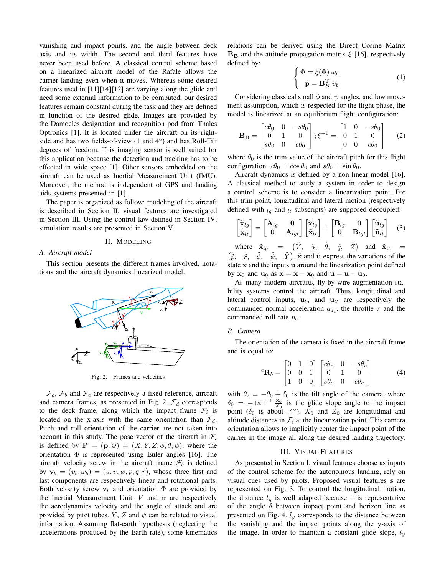vanishing and impact points, and the angle between deck axis and its width. The second and third features have never been used before. A classical control scheme based on a linearized aircraft model of the Rafale allows the carrier landing even when it moves. Whereas some desired features used in [11][14][12] are varying along the glide and need some external information to be computed, our desired features remain constant during the task and they are defined in function of the desired glide. Images are provided by the Damocles designation and recognition pod from Thales Optronics [1]. It is located under the aircraft on its rightside and has two fields-of-view (1 and 4°) and has Roll-Tilt degrees of freedom. This imaging sensor is well suited for this application because the detection and tracking has to be effected in wide space [1]. Other sensors embedded on the aircraft can be used as Inertial Measurement Unit (IMU). Moreover, the method is independent of GPS and landing aids systems presented in [1].

The paper is organized as follow: modeling of the aircraft is described in Section II, visual features are investigated in Section III. Using the control law defined in Section IV, simulation results are presented in Section V.

#### II. MODELING

## *A. Aircraft model*

This section presents the different frames involved, notations and the aircraft dynamics linearized model.



Fig. 2. Frames and velocities

 $\mathcal{F}_o$ ,  $\mathcal{F}_b$  and  $\mathcal{F}_c$  are respectively a fixed reference, aircraft and camera frames, as presented in Fig. 2.  $\mathcal{F}_d$  corresponds to the deck frame, along which the impact frame  $\mathcal{F}_i$  is located on the x-axis with the same orientation than  $\mathcal{F}_d$ . Pitch and roll orientation of the carrier are not taken into account in this study. The pose vector of the aircraft in  $\mathcal{F}_i$ is defined by  $\mathbf{P} = (\mathbf{p}, \Phi) = (X, Y, Z, \phi, \theta, \psi)$ , where the orientation  $\Phi$  is represented using Euler angles [16]. The aircraft velocity screw in the aircraft frame  $\mathcal{F}_b$  is defined by  $\mathbf{v}_b = (v_b, \omega_b) = (u, v, w, p, q, r)$ , whose three first and last components are respectively linear and rotational parts. Both velocity screw  $v_b$  and orientation  $\Phi$  are provided by the Inertial Measurement Unit. V and  $\alpha$  are respectively the aerodynamics velocity and the angle of attack and are provided by pitot tubes. Y, Z and  $\psi$  can be related to visual information. Assuming flat-earth hypothesis (neglecting the accelerations produced by the Earth rate), some kinematics relations can be derived using the Direct Cosine Matrix  $B_B$  and the attitude propagation matrix  $\xi$  [16], respectively defined by:

$$
\begin{cases} \dot{\Phi} = \xi(\Phi) \ \omega_b \\ \dot{\mathbf{p}} = \mathbf{B}_B^{\mathrm{T}} \ v_b \end{cases} \tag{1}
$$

Considering classical small  $\phi$  and  $\psi$  angles, and low movement assumption, which is respected for the flight phase, the model is linearized at an equilibrium flight configuration:

$$
\mathbf{B}_{\mathbf{B}} = \begin{bmatrix} c\theta_0 & 0 & -s\theta_0 \\ 0 & 1 & 0 \\ s\theta_0 & 0 & c\theta_0 \end{bmatrix}; \xi^{-1} = \begin{bmatrix} 1 & 0 & -s\theta_0 \\ 0 & 1 & 0 \\ 0 & 0 & c\theta_0 \end{bmatrix}
$$
 (2)

where  $\theta_0$  is the trim value of the aircraft pitch for this flight configuration.  $c\theta_0 = \cos \theta_0$  and  $s\theta_0 = \sin \theta_0$ .

Aircraft dynamics is defined by a non-linear model [16]. A classical method to study a system in order to design a control scheme is to consider a linearization point. For this trim point, longitudinal and lateral motion (respectively defined with  $l_g$  and  $l_t$  subscripts) are supposed decoupled:

$$
\begin{bmatrix} \dot{\tilde{\mathbf{x}}}_{lg} \\ \dot{\tilde{\mathbf{x}}}_{lt} \end{bmatrix} = \begin{bmatrix} \mathbf{A}_{lg} & \mathbf{0} \\ \mathbf{0} & \mathbf{A}_{lgt} \end{bmatrix} \begin{bmatrix} \tilde{\mathbf{x}}_{lg} \\ \tilde{\mathbf{x}}_{lt} \end{bmatrix} + \begin{bmatrix} \mathbf{B}_{lg} & \mathbf{0} \\ \mathbf{0} & \mathbf{B}_{lgt} \end{bmatrix} \begin{bmatrix} \tilde{\mathbf{u}}_{lg} \\ \tilde{\mathbf{u}}_{lt} \end{bmatrix}
$$
 (3)

where  $\tilde{\mathbf{x}}_{lg} = (\tilde{V}, \tilde{\alpha}, \tilde{\theta}, \tilde{q}, \tilde{Z})$  and  $\tilde{\mathbf{x}}_{lt} =$  $(\tilde{p}, \tilde{r}, \tilde{\phi}, \tilde{\psi}, \tilde{Y})$ .  $\tilde{x}$  and  $\tilde{u}$  express the variations of the state x and the inputs u around the linearization point defined by  $x_0$  and  $u_0$  as  $\tilde{x} = x - x_0$  and  $\tilde{u} = u - u_0$ .

As many modern aircrafts, fly-by-wire augmentation stability systems control the aircraft. Thus, longitudinal and lateral control inputs,  $\mathbf{u}_{lq}$  and  $\mathbf{u}_{lt}$  are respectively the commanded normal acceleration  $a_{z_c}$ , the throttle  $\tau$  and the commanded roll-rate  $p_c$ .

#### *B. Camera*

The orientation of the camera is fixed in the aircraft frame and is equal to:

$$
{}^{c}\mathbf{R}_{b} = \begin{bmatrix} 0 & 1 & 0 \\ 0 & 0 & 1 \\ 1 & 0 & 0 \end{bmatrix} \begin{bmatrix} c\theta_{c} & 0 & -s\theta_{c} \\ 0 & 1 & 0 \\ s\theta_{c} & 0 & c\theta_{c} \end{bmatrix}
$$
 (4)

with  $\theta_c = -\theta_0 + \delta_0$  is the tilt angle of the camera, where  $\delta_0 = -\tan^{-1} \frac{Z_0}{X_0}$  is the glide slope angle to the impact point ( $\delta_0$  is about -4°).  $X_0$  and  $Z_0$  are longitudinal and altitude distances in  $\mathcal{F}_i$  at the linearization point. This camera orientation allows to implicitly center the impact point of the carrier in the image all along the desired landing trajectory.

# III. VISUAL FEATURES

As presented in Section I, visual features choose as inputs of the control scheme for the autonomous landing, rely on visual cues used by pilots. Proposed visual features s are represented on Fig. 3. To control the longitudinal motion, the distance  $l_y$  is well adapted because it is representative of the angle  $\delta$  between impact point and horizon line as presented on Fig. 4.  $l_y$  corresponds to the distance between the vanishing and the impact points along the y-axis of the image. In order to maintain a constant glide slope,  $l_y$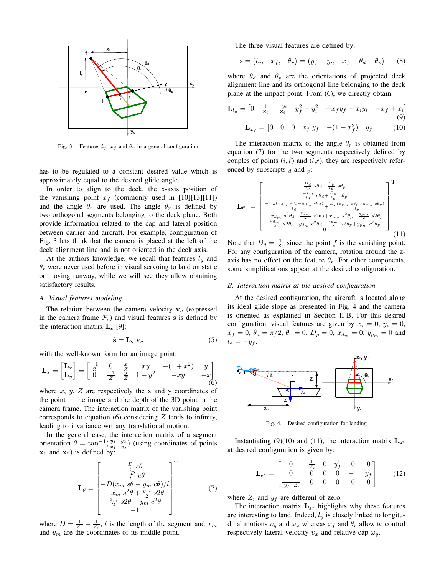

Fig. 3. Features  $l_y$ ,  $x_f$  and  $\theta_r$  in a general configuration

has to be regulated to a constant desired value which is approximately equal to the desired glide angle.

In order to align to the deck, the x-axis position of the vanishing point  $x_f$  (commonly used in [10][13][11]) and the angle  $\theta_r$  are used. The angle  $\theta_r$  is defined by two orthogonal segments belonging to the deck plane. Both provide information related to the cap and lateral position between carrier and aircraft. For example, configuration of Fig. 3 lets think that the camera is placed at the left of the deck alignment line and is not oriented in the deck axis.

At the authors knowledge, we recall that features  $l_y$  and  $\theta_r$  were never used before in visual servoing to land on static or moving runway, while we will see they allow obtaining satisfactory results.

#### *A. Visual features modeling*

The relation between the camera velocity  $v_c$  (expressed in the camera frame  $\mathcal{F}_c$ ) and visual features s is defined by the interaction matrix  $\mathbf{L}_s$  [9]:

$$
\dot{\mathbf{s}} = \mathbf{L}_{\mathbf{s}} \, \mathbf{v}_c \tag{5}
$$

with the well-known form for an image point:

$$
\mathbf{L}_{\mathbf{x}} = \begin{bmatrix} \mathbf{L}_{x} \\ \mathbf{L}_{y} \end{bmatrix} = \begin{bmatrix} \frac{-1}{Z} & 0 & \frac{x}{Z} & xy & -(1+x^{2}) & y \\ 0 & \frac{-1}{Z} & \frac{y}{Z} & 1+y^{2} & -xy & -x \end{bmatrix}
$$
(6)

where  $x$ ,  $y$ ,  $Z$  are respectively the x and y coordinates of the point in the image and the depth of the 3D point in the camera frame. The interaction matrix of the vanishing point corresponds to equation (6) considering  $Z$  tends to infinity, leading to invariance wrt any translational motion.

In the general case, the interaction matrix of a segment orientation  $\theta = \tan^{-1}(\frac{y_1 - y_2}{x_1 - x_2})$  (using coordinates of points  $x_1$  and  $x_2$ ) is defined by:

$$
\mathbf{L}_{\theta} = \begin{bmatrix} \frac{\frac{D}{l} s\theta}{l} c\theta\\ -D(x_m s\theta - y_m c\theta)/l\\ -x_m s^2\theta + \frac{y_m}{2} s2\theta\\ \frac{x_m}{2} s2\theta - y_m c^2\theta\\ -1 \end{bmatrix} (7)
$$

where  $D = \frac{1}{Z_1} - \frac{1}{Z_2}$ , l is the length of the segment and  $x_m$ and  $y_m$  are the coordinates of its middle point.

The three visual features are defined by:

$$
\mathbf{s} = (l_y, x_f, \theta_r) = (y_f - y_i, x_f, \theta_d - \theta_p) \tag{8}
$$

where  $\theta_d$  and  $\theta_p$  are the orientations of projected deck alignment line and its orthogonal line belonging to the deck plane at the impact point. From (6), we directly obtain:

$$
\mathbf{L}_{l_y} = \begin{bmatrix} 0 & \frac{1}{Z_i} & \frac{-y_i}{Z_i} & y_f^2 - y_i^2 & -x_f y_f + x_i y_i & -x_f + x_i \end{bmatrix}
$$
  
(9)  

$$
\mathbf{L}_{x_f} = \begin{bmatrix} 0 & 0 & 0 & x_f y_f & -(1 + x_f^2) & y_f \end{bmatrix}
$$
 (10)

The interaction matrix of the angle  $\theta_r$  is obtained from equation (7) for the two segments respectively defined by couples of points  $(i, f)$  and  $(l,r)$ , they are respectively referenced by subscripts  $_d$  and  $_p$ :

$$
\mathbf{L}_{\theta_{r}} = \begin{bmatrix} \frac{D_{d}}{l_{d}} s\theta_{d} - \frac{D_{p}}{l_{p}} s\theta_{p} \\ \frac{-D_{d}}{l_{d}} c\theta_{d} + \frac{D_{p}}{l_{p}} c\theta_{p} \\ \frac{-D_{d}(x_{d_{m}} s\theta_{d} - y_{d_{m}} c\theta_{d})}{l_{d}} + \frac{D_{p}(x_{p_{m}} s\theta_{p} - y_{p_{m}} c\theta_{p})}{l_{p}} \\ \frac{-x_{d_{m}} s^{2}\theta_{d} + \frac{y_{d_{m}}}{2} s2\theta_{d} + x_{p_{m}} s^{2}\theta_{p} - \frac{y_{p_{m}}}{2} s2\theta_{p}}{\frac{x_{d_{m}}}{2} s2\theta_{d} - y_{d_{m}} c^{2}\theta_{d} - \frac{x_{p_{m}}}{2} s2\theta_{p} + y_{p_{m}} c^{2}\theta_{p}} \end{bmatrix}^{T}
$$
\n(11)

Note that  $D_d = \frac{1}{Z_i}$  since the point f is the vanishing point. For any configuration of the camera, rotation around the zaxis has no effect on the feature  $\theta_r$ . For other components, some simplifications appear at the desired configuration.

#### *B. Interaction matrix at the desired configuration*

At the desired configuration, the aircraft is located along its ideal glide slope as presented in Fig. 4 and the camera is oriented as explained in Section II-B. For this desired configuration, visual features are given by  $x_i = 0$ ,  $y_i = 0$ ,  $x_f = 0, \ \theta_d = \pi/2, \ \theta_r = 0, \ D_p = 0, \ x_{d_m} = 0, \ y_{p_m} = 0$  and  $l_d = -y_f$ .



Fig. 4. Desired configuration for landing

Instantiating (9)(10) and (11), the interaction matrix  $\mathbf{L}_{s^*}$ at desired configuration is given by:

$$
\mathbf{L}_{\mathbf{s}^*} = \begin{bmatrix} 0 & \frac{1}{Z_i} & 0 & y_f^2 & 0 & 0 \\ 0 & 0 & 0 & 0 & -1 & y_f \\ \frac{-1}{|y_f| \, Z_i} & 0 & 0 & 0 & 0 & 0 \end{bmatrix}
$$
 (12)

where  $Z_i$  and  $y_f$  are different of zero.

The interaction matrix  $L_{s^*}$  highlights why these features are interesting to land. Indeed,  $l_y$  is closely linked to longitudinal motions  $v_y$  and  $\omega_x$  whereas  $x_f$  and  $\theta_r$  allow to control respectively lateral velocity  $v_x$  and relative cap  $\omega_y$ .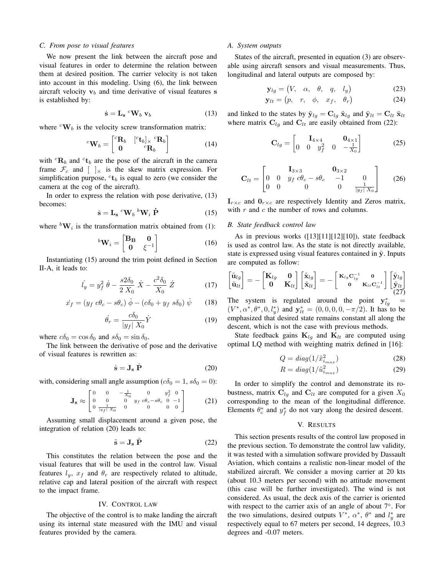#### *C. From pose to visual features*

We now present the link between the aircraft pose and visual features in order to determine the relation between them at desired position. The carrier velocity is not taken into account in this modeling. Using (6), the link between aircraft velocity  $v_b$  and time derivative of visual features s is established by:

$$
\dot{\mathbf{s}} = \mathbf{L_s} \,^c \mathbf{W}_b \, \mathbf{v}_b \tag{13}
$$

where  ${}^{c}\mathbf{W}_{b}$  is the velocity screw transformation matrix:

$$
{}^{c}\mathbf{W}_{b} = \begin{bmatrix} {}^{c}\mathbf{R}_{b} & {}^{[c}\mathbf{t}_{b}]_{\times} {}^{c}\mathbf{R}_{b} \\ \mathbf{0} & {}^{c}\mathbf{R}_{b} \end{bmatrix}
$$
 (14)

with  ${}^{c}$ **R**<sub>b</sub> and  ${}^{c}$ **t**<sub>b</sub> are the pose of the aircraft in the camera frame  $\mathcal{F}_c$  and  $\left[\right]_{\times}$  is the skew matrix expression. For simplification purpose,  ${}^{c}\textbf{t}_{b}$  is equal to zero (we consider the camera at the cog of the aircraft).

In order to express the relation with pose derivative, (13) becomes:

$$
\dot{\mathbf{s}} = \mathbf{L}_{\mathbf{s}} \ ^{c} \mathbf{W}_{b} \ ^{b} \mathbf{W}_{i} \ \dot{\mathbf{P}} \tag{15}
$$

where  ${}^b\mathbf{W}_i$  is the transformation matrix obtained from (1):

$$
{}^{b}\mathbf{W}_{i} = \begin{bmatrix} \mathbf{B}_{\mathbf{B}} & \mathbf{0} \\ \mathbf{0} & \xi^{-1} \end{bmatrix}
$$
 (16)

Instantiating (15) around the trim point defined in Section II-A, it leads to:

$$
\dot{l}_y = y_f^2 \dot{\theta} - \frac{s2\delta_0}{2 X_0} \dot{X} - \frac{c^2 \delta_0}{X_0} \dot{Z}
$$
 (17)

$$
\dot{x}_f = (y_f \ c\theta_c - s\theta_c) \ \dot{\phi} - (c\delta_0 + y_f \ s\delta_0) \ \dot{\psi} \tag{18}
$$

$$
\dot{\theta_r} = \frac{c\delta_0}{|y_f| X_0} \dot{Y}
$$
\n(19)

where  $c\delta_0 = \cos \delta_0$  and  $s\delta_0 = \sin \delta_0$ .

The link between the derivative of pose and the derivative of visual features is rewritten as:

$$
\dot{\mathbf{s}} = \mathbf{J}_s \dot{\mathbf{P}} \tag{20}
$$

with, considering small angle assumption ( $c\delta_0 = 1$ ,  $s\delta_0 = 0$ ):

$$
\mathbf{J}_{\mathbf{s}} \approx \begin{bmatrix} 0 & 0 & -\frac{1}{X_0} & 0 & y_f^2 & 0 \\ 0 & 0 & 0 & y_f & c\theta_c - s\theta_c & 0 & -1 \\ 0 & \frac{1}{|y_f| \, X_0} & 0 & 0 & 0 & 0 \end{bmatrix} \tag{21}
$$

Assuming small displacement around a given pose, the integration of relation (20) leads to:

$$
\tilde{\mathbf{s}} = \mathbf{J}_\mathbf{s} \; \tilde{\mathbf{P}} \tag{22}
$$

This constitutes the relation between the pose and the visual features that will be used in the control law. Visual features  $l_y$ ,  $x_f$  and  $\theta_r$  are respectively related to altitude, relative cap and lateral position of the aircraft with respect to the impact frame.

#### IV. CONTROL LAW

The objective of the control is to make landing the aircraft using its internal state measured with the IMU and visual features provided by the camera.

# *A. System outputs*

States of the aircraft, presented in equation (3) are observable using aircraft sensors and visual measurements. Thus, longitudinal and lateral outputs are composed by:

$$
\mathbf{y}_{lg} = \begin{pmatrix} V, & \alpha, & \theta, & q, & l_y \end{pmatrix} \tag{23}
$$

$$
\mathbf{y}_{lt} = \begin{pmatrix} p, & r, & \phi, & x_f, & \theta_r \end{pmatrix} \tag{24}
$$

and linked to the states by  $\tilde{\mathbf{y}}_{lg} = \mathbf{C}_{lg} \tilde{\mathbf{x}}_{lg}$  and  $\tilde{\mathbf{y}}_{lt} = \mathbf{C}_{lt} \tilde{\mathbf{x}}_{lt}$ where matrix  $C_{lg}$  and  $C_{lt}$  are easily obtained from (22):

$$
\mathbf{C}_{lg} = \begin{bmatrix} \mathbf{I}_{4 \times 4} & \mathbf{0}_{4 \times 1} \\ 0 & 0 & y_f^2 & 0 & -\frac{1}{X_0} \end{bmatrix}
$$
 (25)

$$
\mathbf{C}_{lt} = \begin{bmatrix} \mathbf{I}_{3\times3} & \mathbf{0}_{3\times2} \\ 0 & 0 & y_f c\theta_c - s\theta_c & -1 & 0 \\ 0 & 0 & 0 & 0 & \frac{1}{|y_f| X_0} \end{bmatrix}
$$
 (26)

 $\mathbf{I}_{r \times c}$  and  $\mathbf{0}_{r \times c}$  are respectively Identity and Zeros matrix, with  $r$  and  $c$  the number of rows and columns.

# *B. State feedback control law*

As in previous works ([13][11][12][10]), state feedback is used as control law. As the state is not directly available, state is expressed using visual features contained in  $\tilde{y}$ . Inputs are computed as follow:

$$
\begin{bmatrix}\tilde{\mathbf{u}}_{lg} \\ \tilde{\mathbf{u}}_{lt}\end{bmatrix} = -\begin{bmatrix}\n\mathbf{K}_{lg} & \mathbf{0} \\
\mathbf{0} & \mathbf{K}_{lt}\end{bmatrix}\begin{bmatrix}\tilde{\mathbf{x}}_{lg} \\ \tilde{\mathbf{x}}_{lt}\end{bmatrix} = -\begin{bmatrix}\n\mathbf{K}_{lg}\mathbf{C}_{lg}^{-1} & \mathbf{0} \\
\mathbf{0} & \mathbf{K}_{lt}\mathbf{C}_{lt}^{-1}\n\end{bmatrix}\begin{bmatrix}\n\tilde{\mathbf{y}}_{lg} \\ \tilde{\mathbf{y}}_{lt} \\ (27)\n\end{bmatrix}
$$

The system is regulated around the point  $y_{lg}^*$  =  $(V^*, \alpha^*, \theta^*, 0, l_y^*)$  and  $y_{lt}^* = (0, 0, 0, 0, -\pi/2)$ . It has to be emphasized that desired state remains constant all along the descent, which is not the case with previous methods.

State feedback gains  $\mathbf{K}_{lg}$  and  $\mathbf{K}_{lt}$  are computed using optimal LQ method with weighting matrix defined in [16]:

$$
Q = diag(1/\tilde{x}_{i_{max}}^2)
$$
 (28)

$$
R = diag(1/\tilde{u}_{i_{max}}^2)
$$
 (29)

In order to simplify the control and demonstrate its robustness, matrix  $C_{lq}$  and  $C_{lt}$  are computed for a given  $X_0$ corresponding to the mean of the longitudinal difference. Elements  $\theta_c^*$  and  $y_f^*$  do not vary along the desired descent.

# V. RESULTS

This section presents results of the control law proposed in the previous section. To demonstrate the control law validity, it was tested with a simulation software provided by Dassault Aviation, which contains a realistic non-linear model of the stabilized aircraft. We consider a moving carrier at 20 kts (about 10.3 meters per second) with no attitude movement (this case will be further investigated). The wind is not considered. As usual, the deck axis of the carrier is oriented with respect to the carrier axis of an angle of about 7°. For the two simulations, desired outputs  $V^*$ ,  $\alpha^*$ ,  $\theta^*$  and  $l_y^*$  are respectively equal to 67 meters per second, 14 degrees, 10.3 degrees and -0.07 meters.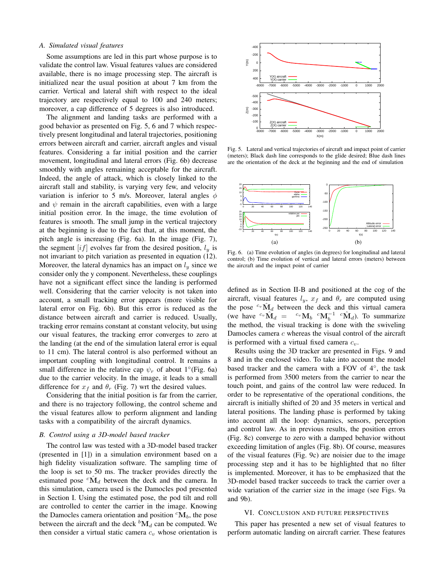### *A. Simulated visual features*

Some assumptions are led in this part whose purpose is to validate the control law. Visual features values are considered available, there is no image processing step. The aircraft is initialized near the usual position at about 7 km from the carrier. Vertical and lateral shift with respect to the ideal trajectory are respectively equal to 100 and 240 meters; moreover, a cap difference of 5 degrees is also introduced.

The alignment and landing tasks are performed with a good behavior as presented on Fig. 5, 6 and 7 which respectively present longitudinal and lateral trajectories, positioning errors between aircraft and carrier, aircraft angles and visual features. Considering a far initial position and the carrier movement, longitudinal and lateral errors (Fig. 6b) decrease smoothly with angles remaining acceptable for the aircraft. Indeed, the angle of attack, which is closely linked to the aircraft stall and stability, is varying very few, and velocity variation is inferior to 5 m/s. Moreover, lateral angles  $\phi$ and  $\psi$  remain in the aircraft capabilities, even with a large initial position error. In the image, the time evolution of features is smooth. The small jump in the vertical trajectory at the beginning is due to the fact that, at this moment, the pitch angle is increasing (Fig. 6a). In the image (Fig. 7), the segment  $[i]$  evolves far from the desired position,  $l_y$  is not invariant to pitch variation as presented in equation (12). Moreover, the lateral dynamics has an impact on  $l_y$  since we consider only the y component. Nevertheless, these couplings have not a significant effect since the landing is performed well. Considering that the carrier velocity is not taken into account, a small tracking error appears (more visible for lateral error on Fig. 6b). But this error is reduced as the distance between aircraft and carrier is reduced. Usually, tracking error remains constant at constant velocity, but using our visual features, the tracking error converges to zero at the landing (at the end of the simulation lateral error is equal to 11 cm). The lateral control is also performed without an important coupling with longitudinal control. It remains a small difference in the relative cap  $\psi_r$  of about 1°(Fig. 6a) due to the carrier velocity. In the image, it leads to a small difference for  $x_f$  and  $\theta_r$  (Fig. 7) wrt the desired values.

Considering that the initial position is far from the carrier, and there is no trajectory following, the control scheme and the visual features allow to perform alignment and landing tasks with a compatibility of the aircraft dynamics.

#### *B. Control using a 3D-model based tracker*

The control law was tested with a 3D-model based tracker (presented in [1]) in a simulation environment based on a high fidelity visualization software. The sampling time of the loop is set to 50 ms. The tracker provides directly the estimated pose  ${}^{c}\hat{\mathbf{M}}_{d}$  between the deck and the camera. In this simulation, camera used is the Damocles pod presented in Section I. Using the estimated pose, the pod tilt and roll are controlled to center the carrier in the image. Knowing the Damocles camera orientation and position  ${}^{c}M_b$ , the pose between the aircraft and the deck  ${}^b{\rm M}_d$  can be computed. We then consider a virtual static camera  $c_v$  whose orientation is



Fig. 5. Lateral and vertical trajectories of aircraft and impact point of carrier (meters); Black dash line corresponds to the glide desired; Blue dash lines are the orientation of the deck at the beginning and the end of simulation



Fig. 6. (a) Time evolution of angles (in degrees) for longitudinal and lateral control; (b) Time evolution of vertical and lateral errors (meters) between the aircraft and the impact point of carrier

defined as in Section II-B and positioned at the cog of the aircraft, visual features  $l_y$ ,  $x_f$  and  $\theta_r$  are computed using the pose  ${}^{c_v}\hat{\mathbf{M}}_d$  between the deck and this virtual camera (we have  ${}^{c_v}\hat{\mathbf{M}}_d = {}^{c_v}\mathbf{M}_b {}^{c}\mathbf{M}_b^{-1} {}^{c}\hat{\mathbf{M}}_d$ ). To summarize the method, the visual tracking is done with the swiveling Damocles camera c whereas the visual control of the aircraft is performed with a virtual fixed camera  $c_v$ .

Results using the 3D tracker are presented in Figs. 9 and 8 and in the enclosed video. To take into account the model based tracker and the camera with a FOV of 4◦ , the task is performed from 3500 meters from the carrier to near the touch point, and gains of the control law were reduced. In order to be representative of the operational conditions, the aircraft is initially shifted of 20 and 35 meters in vertical and lateral positions. The landing phase is performed by taking into account all the loop: dynamics, sensors, perception and control law. As in previous results, the position errors (Fig. 8c) converge to zero with a damped behavior without exceeding limitation of angles (Fig. 8b). Of course, measures of the visual features (Fig. 9c) are noisier due to the image processing step and it has to be highlighted that no filter is implemented. Moreover, it has to be emphasized that the 3D-model based tracker succeeds to track the carrier over a wide variation of the carrier size in the image (see Figs. 9a and 9b).

# VI. CONCLUSION AND FUTURE PERSPECTIVES

This paper has presented a new set of visual features to perform automatic landing on aircraft carrier. These features